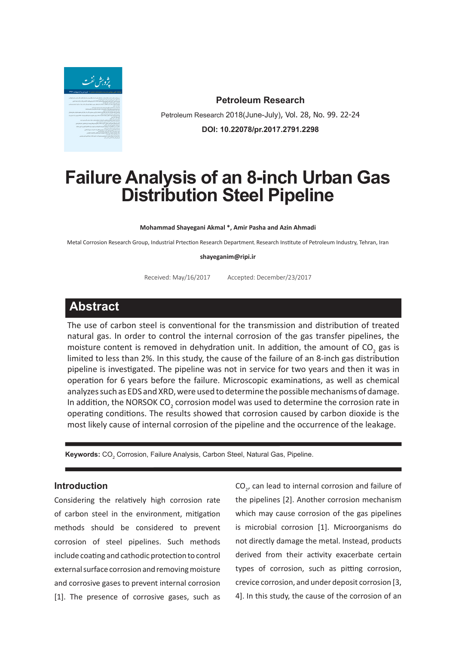

**Petroleum Research** Petroleum Research 2018(June-July), Vol. 28, No. 99. 22-24 **DOI: 10.22078/pr.2017.2791.2298**

# **Failure Analysis of an 8-inch Urban Gas Distribution Steel Pipeline**

**Mohammad Shayegani Akmal \*, Amir Pasha and Azin Ahmadi**

Metal Corrosion Research Group, Industrial Prtection Research Department, Research Institute of Petroleum Industry, Tehran, Iran

#### **shayeganim@ripi.ir**

Received: May/16/2017 Accepted: December/23/2017

## **Abstract**

The use of carbon steel is conventional for the transmission and distribution of treated natural gas. In order to control the internal corrosion of the gas transfer pipelines, the moisture content is removed in dehydration unit. In addition, the amount of  $\text{CO}_2$  gas is limited to less than 2%. In this study, the cause of the failure of an 8-inch gas distribution pipeline is investigated. The pipeline was not in service for two years and then it was in operation for 6 years before the failure. Microscopic examinations, as well as chemical analyzes such as EDS and XRD, were used to determine the possible mechanisms of damage. In addition, the NORSOK CO<sub>2</sub> corrosion model was used to determine the corrosion rate in operating conditions. The results showed that corrosion caused by carbon dioxide is the most likely cause of internal corrosion of the pipeline and the occurrence of the leakage.

**Keywords:** CO<sub>2</sub> Corrosion, Failure Analysis, Carbon Steel, Natural Gas, Pipeline.

### **Introduction**

Considering the relatively high corrosion rate of carbon steel in the environment, mitigation methods should be considered to prevent corrosion of steel pipelines. Such methods include coating and cathodic protection to control external surface corrosion and removing moisture and corrosive gases to prevent internal corrosion [1]. The presence of corrosive gases, such as

 $CO_{2}$ , can lead to internal corrosion and failure of the pipelines [2]. Another corrosion mechanism which may cause corrosion of the gas pipelines is microbial corrosion [1]. Microorganisms do not directly damage the metal. Instead, products derived from their activity exacerbate certain types of corrosion, such as pitting corrosion, crevice corrosion, and under deposit corrosion [3, 4]. In this study, the cause of the corrosion of an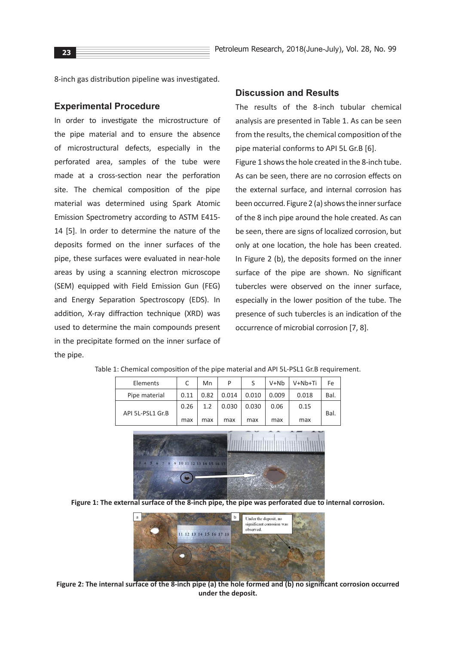8-inch gas distribution pipeline was investigated.

#### **Experimental Procedure**

In order to investigate the microstructure of the pipe material and to ensure the absence of microstructural defects, especially in the perforated area, samples of the tube were made at a cross-section near the perforation site. The chemical composition of the pipe material was determined using Spark Atomic Emission Spectrometry according to ASTM E415- 14 [5]. In order to determine the nature of the deposits formed on the inner surfaces of the pipe, these surfaces were evaluated in near-hole areas by using a scanning electron microscope (SEM) equipped with Field Emission Gun (FEG) and Energy Separation Spectroscopy (EDS). In addition, X-ray diffraction technique (XRD) was used to determine the main compounds present in the precipitate formed on the inner surface of the pipe.

#### **Discussion and Results**

The results of the 8-inch tubular chemical analysis are presented in Table 1. As can be seen from the results, the chemical composition of the pipe material conforms to API 5L Gr.B [6]. Figure 1 shows the hole created in the 8-inch tube. As can be seen, there are no corrosion effects on the external surface, and internal corrosion has been occurred. Figure 2 (a) shows the inner surface of the 8 inch pipe around the hole created. As can be seen, there are signs of localized corrosion, but only at one location, the hole has been created. In Figure 2 (b), the deposits formed on the inner surface of the pipe are shown. No significant tubercles were observed on the inner surface, especially in the lower position of the tube. The presence of such tubercles is an indication of the occurrence of microbial corrosion [7, 8].

| Elements                  | C    | Mn                                | P     |       | $V + Nb$ | V+Nb+Ti | Fe   |  |  |  |  |
|---------------------------|------|-----------------------------------|-------|-------|----------|---------|------|--|--|--|--|
| Pipe material             | 0.11 | 0.82                              | 0.014 | 0.010 | 0.009    | 0.018   | Bal. |  |  |  |  |
|                           | 0.26 | 1.2                               | 0.030 | 0.030 | 0.06     | 0.15    |      |  |  |  |  |
| API 5L-PSL1 Gr.B          | max  | max                               | max   | max   | max      | max     | Bal. |  |  |  |  |
|                           |      |                                   |       |       |          |         |      |  |  |  |  |
|                           |      |                                   |       |       |          |         |      |  |  |  |  |
| $A \sim 5$ 6 7<br>$\circ$ |      | 0, 10, 11, 12, 12, 14, 15, 17, 18 |       |       |          |         |      |  |  |  |  |

Table 1: Chemical composition of the pipe material and API 5L-PSL1 Gr.B requirement.

**Figure 1: The external surface of the 8-inch pipe, the pipe was perforated due to internal corrosion.**



**Figure 2: The internal surface of the 8-inch pipe (a) the hole formed and (b) no significant corrosion occurred under the deposit.**